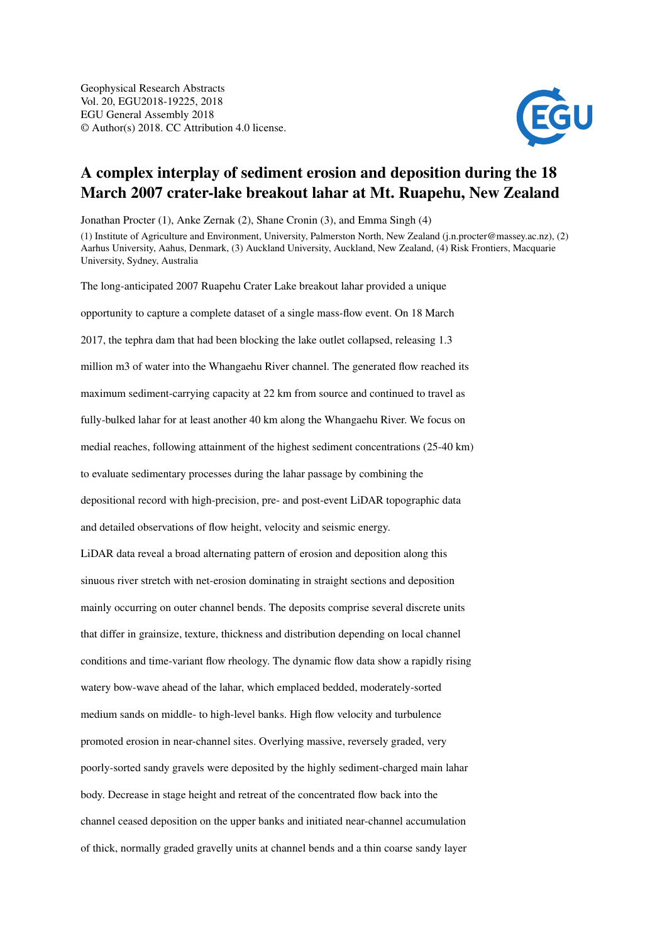

## A complex interplay of sediment erosion and deposition during the 18 March 2007 crater-lake breakout lahar at Mt. Ruapehu, New Zealand

Jonathan Procter (1), Anke Zernak (2), Shane Cronin (3), and Emma Singh (4)

(1) Institute of Agriculture and Environment, University, Palmerston North, New Zealand (j.n.procter@massey.ac.nz), (2) Aarhus University, Aahus, Denmark, (3) Auckland University, Auckland, New Zealand, (4) Risk Frontiers, Macquarie University, Sydney, Australia

The long-anticipated 2007 Ruapehu Crater Lake breakout lahar provided a unique opportunity to capture a complete dataset of a single mass-flow event. On 18 March 2017, the tephra dam that had been blocking the lake outlet collapsed, releasing 1.3 million m3 of water into the Whangaehu River channel. The generated flow reached its maximum sediment-carrying capacity at 22 km from source and continued to travel as fully-bulked lahar for at least another 40 km along the Whangaehu River. We focus on medial reaches, following attainment of the highest sediment concentrations (25-40 km) to evaluate sedimentary processes during the lahar passage by combining the depositional record with high-precision, pre- and post-event LiDAR topographic data and detailed observations of flow height, velocity and seismic energy. LiDAR data reveal a broad alternating pattern of erosion and deposition along this sinuous river stretch with net-erosion dominating in straight sections and deposition mainly occurring on outer channel bends. The deposits comprise several discrete units that differ in grainsize, texture, thickness and distribution depending on local channel conditions and time-variant flow rheology. The dynamic flow data show a rapidly rising watery bow-wave ahead of the lahar, which emplaced bedded, moderately-sorted medium sands on middle- to high-level banks. High flow velocity and turbulence promoted erosion in near-channel sites. Overlying massive, reversely graded, very poorly-sorted sandy gravels were deposited by the highly sediment-charged main lahar body. Decrease in stage height and retreat of the concentrated flow back into the channel ceased deposition on the upper banks and initiated near-channel accumulation of thick, normally graded gravelly units at channel bends and a thin coarse sandy layer